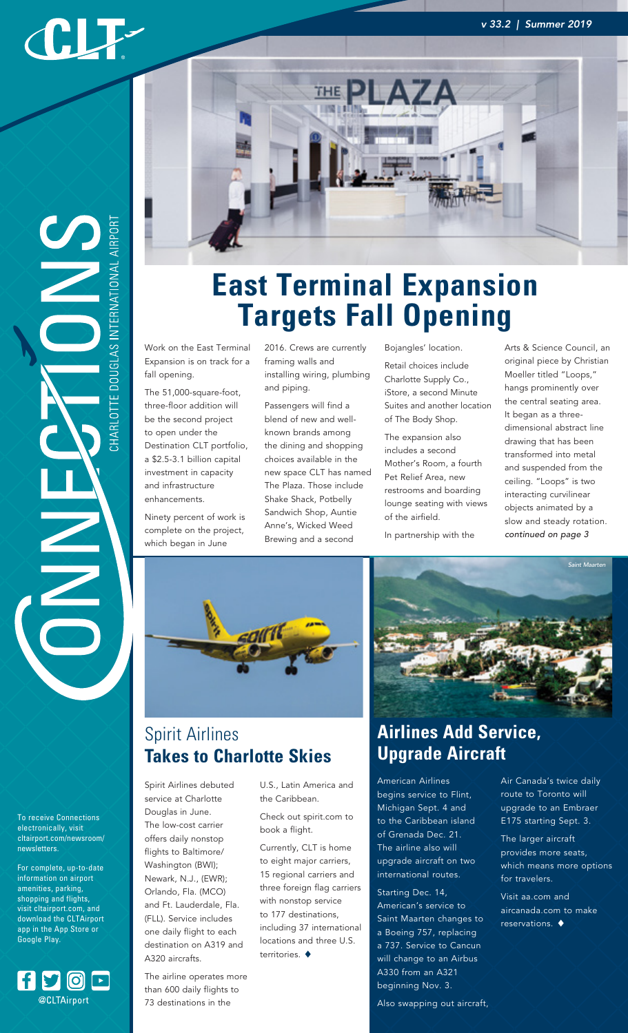#### *v 33.2 | Summer 2019*

CLF-

HARLOTTE DOUGLAS INTERNATIONAL AIRPOR 

To receive Connections electronically, visit cltairport.com/newsroom/ newsletters.

For complete, up-to-date information on airport amenities, parking, shopping and flights, visit cltairport.com, and download the CLTAirport app in the App Store or Google Play.





The airline operates more than 600 daily flights to 73 destinations in the

Spirit Airlines debuted service at Charlotte Douglas in June. The low-cost carrier offers daily nonstop flights to Baltimore/ Washington (BWI); Newark, N.J., (EWR); Orlando, Fla. (MCO)



## **East Terminal Expansion Targets Fall Opening**

Work on the East Terminal Expansion is on track for a fall opening.

The 51,000-square-foot, three-floor addition will be the second project to open under the Destination CLT portfolio, a \$2.5-3.1 billion capital investment in capacity and infrastructure enhancements.

Ninety percent of work is complete on the project, which began in June

2016. Crews are currently framing walls and installing wiring, plumbing and piping.

Passengers will find a blend of new and wellknown brands among the dining and shopping choices available in the new space CLT has named The Plaza. Those include Shake Shack, Potbelly Sandwich Shop, Auntie Anne's, Wicked Weed Brewing and a second

Bojangles' location.

Retail choices include Charlotte Supply Co., iStore, a second Minute Suites and another location of The Body Shop.

The expansion also includes a second Mother's Room, a fourth Pet Relief Area, new restrooms and boarding lounge seating with views of the airfield.

In partnership with the

Arts & Science Council, an original piece by Christian Moeller titled "Loops," hangs prominently over the central seating area. It began as a threedimensional abstract line drawing that has been transformed into metal and suspended from the ceiling. "Loops" is two interacting curvilinear objects animated by a slow and steady rotation. *continued on page 3*



#### Spirit Airlines **Takes to Charlotte Skies**

U.S., Latin America and the Caribbean.

Check out spirit.com to book a flight.

Currently, CLT is home to eight major carriers, 15 regional carriers and three foreign flag carriers with nonstop service to 177 destinations, including 37 international locations and three U.S. territories.  $\blacklozenge$ 



## **Airlines Add Service, Upgrade Aircraft**

American Airlines begins service to Flint, Michigan Sept. 4 and to the Caribbean island of Grenada Dec. 21. The airline also will upgrade aircraft on two international routes.

Starting Dec. 14, American's service to Saint Maarten changes to a Boeing 757, replacing a 737. Service to Cancun will change to an Airbus A330 from an A321 beginning Nov. 3.

Also swapping out aircraft,

Air Canada's twice daily route to Toronto will upgrade to an Embraer E175 starting Sept. 3.

The larger aircraft provides more seats, which means more options for travelers.

Visit aa.com and aircanada.com to make reservations.  $\blacklozenge$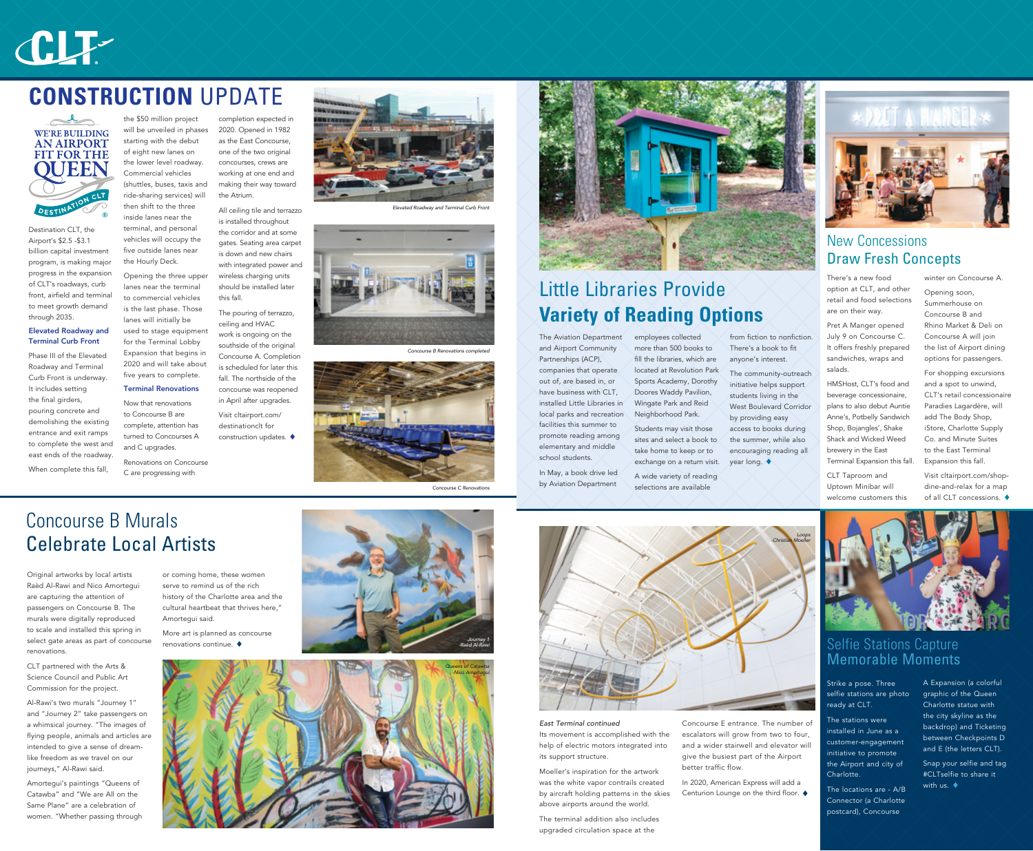## Concourse B Murals Celebrate Local Artists

## New Concessions Draw Fresh Concepts

## Little Libraries Provide **Variety of Reading Options**

There's a new food option at CLT, and other retail and food selections are on their way.

Pret A Manger opened July 9 on Concourse C. It offers freshly prepared sandwiches, wraps and salads.

HMSHost, CLT's food and beverage concessionaire, plans to also debut Auntie Anne's, Potbelly Sandwich Shop, Bojangles', Shake Shack and Wicked Weed brewery in the East Terminal Expansion this fall.

CLT Taproom and Uptown Minibar will welcome customers this winter on Concourse A.

Opening soon, Summerhouse on Concourse B and Rhino Market & Deli on Concourse A will join the list of Airport dining options for passengers.

For shopping excursions and a spot to unwind. CLT's retail concessionaire Paradies Lagardère, will add The Body Shop, iStore, Charlotte Supply Co. and Minute Suites to the East Terminal Expansion this fall.

Visit cltairport.com/shopdine-and-relax for a map of all CLT concessions.



The Aviation Department and Airport Community Partnerships (ACP), companies that operate out of, are based in, or have business with CLT, installed Little Libraries in local parks and recreation facilities this summer to promote reading among elementary and middle school students.

> Snap your selfie and tag #CLTselfie to share it with us.  $\blacklozenge$

In May, a book drive led by Aviation Department

employees collected more than 500 books to fill the libraries, which are located at Revolution Park Sports Academy, Dorothy Doores Waddy Pavilion, Wingate Park and Reid Neighborhood Park.

Students may visit those sites and select a book to take home to keep or to exchange on a return visit.

A wide variety of reading selections are available

from fiction to nonfiction. There's a book to fit anyone's interest.

The community-outreach initiative helps support students living in the West Boulevard Corridor by providing easy access to books during the summer, while also encouraging reading all year long.



### Selfie Stations Capture Memorable Moments

Strike a pose. Three selfie stations are photo ready at CLT.

The stations were installed in June as a customer-engagement initiative to promote the Airport and city of Charlotte.

The locations are - A/B Connector (a Charlotte postcard), Concourse

A Expansion (a colorful graphic of the Queen Charlotte statue with the city skyline as the backdrop) and Ticketing between Checkpoints D and E (the letters CLT).

Destination CLT, the Airport's \$2.5 -\$3.1 billion capital investment program, is making major progress in the expansion of CLT's roadways, curb front, airfield and terminal to meet growth demand through 2035.

#### Elevated Roadway and Terminal Curb Front

Phase III of the Elevated Roadway and Terminal Curb Front is underway. It includes setting the final girders, pouring concrete and demolishing the existing entrance and exit ramps to complete the west and east ends of the roadway.

> In 2020, American Express will add a Centurion Lounge on the third floor.  $\blacklozenge$

When complete this fall,

the \$50 million project will be unveiled in phases starting with the debut of eight new lanes on the lower level roadway. Commercial vehicles (shuttles, buses, taxis and ride-sharing services) will then shift to the three inside lanes near the terminal, and personal vehicles will occupy the five outside lanes near

the Hourly Deck.

Opening the three upper lanes near the terminal to commercial vehicles is the last phase. Those lanes will initially be used to stage equipment for the Terminal Lobby Expansion that begins in 2020 and will take about five years to complete. Terminal Renovations Now that renovations to Concourse B are complete, attention has turned to Concourses A and C upgrades.

Renovations on Concourse C are progressing with

completion expected in 2020. Opened in 1982 as the East Concourse, one of the two original concourses, crews are working at one end and making their way toward the Atrium.

> All ceiling tile and terrazzo is installed throughout the corridor and at some gates. Seating area carpet is down and new chairs with integrated power and wireless charging units should be installed later this fall.

The pouring of terrazzo, ceiling and HVAC work is ongoing on the southside of the original Concourse A. Completion is scheduled for later this fall. The northside of the concourse was reopened in April after upgrades.

Visit cltairport.com/ destinationclt for construction updates.

# CLF-

## **CONSTRUCTION** UPDATE





*Elevated Roadway and Terminal Curb Front*



*Concourse B Renovations completed*



*Concourse C Renovations*





Original artworks by local artists Raèd Al-Rawi and Nico Amortegui are capturing the attention of passengers on Concourse B. The murals were digitally reproduced to scale and installed this spring in select gate areas as part of concourse renovations.

CLT partnered with the Arts & Science Council and Public Art Commission for the project.

Al-Rawi's two murals "Journey 1" and "Journey 2" take passengers on a whimsical journey. "The images of flying people, animals and articles are intended to give a sense of dreamlike freedom as we travel on our journeys," Al-Rawi said.

Amortegui's paintings "Queens of Catawba" and "We are All on the Same Plane" are a celebration of women. "Whether passing through or coming home, these women serve to remind us of the rich history of the Charlotte area and the cultural heartbeat that thrives here," Amortegui said.

More art is planned as concourse renovations continue.

> *East Terminal continued*  Its movement is accomplished with the help of electric motors integrated into its support structure.

> Moeller's inspiration for the artwork was the white vapor contrails created by aircraft holding patterns in the skies above airports around the world.

The terminal addition also includes upgraded circulation space at the

Concourse E entrance. The number of escalators will grow from two to four, and a wider stairwell and elevator will give the busiest part of the Airport better traffic flow.